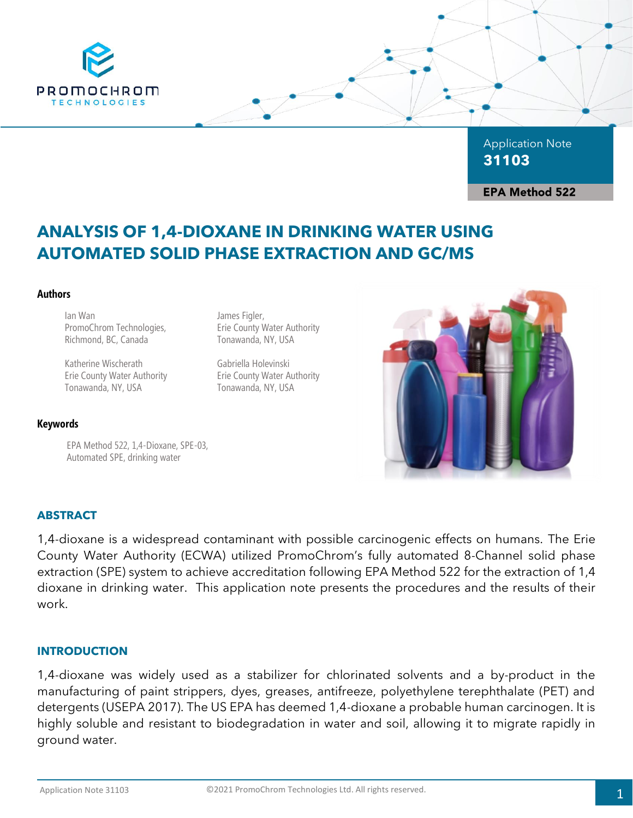

Application Note **31103**

**EPA Method 522** 

# **ANALYSIS OF 1,4-DIOXANE IN DRINKING WATER USING AUTOMATED SOLID PHASE EXTRACTION AND GC/MS**

#### **Authors**

Ian Wan PromoChrom Technologies, Richmond, BC, Canada

Katherine Wischerath Erie County Water Authority Tonawanda, NY, USA

#### **Keywords**

EPA Method 522, 1,4-Dioxane, SPE-03, Automated SPE, drinking water

James Figler, Erie County Water Authority Tonawanda, NY, USA

Gabriella Holevinski Erie County Water Authority Tonawanda, NY, USA



# **ABSTRACT**

1,4-dioxane is a widespread contaminant with possible carcinogenic effects on humans. The Erie County Water Authority (ECWA) utilized PromoChrom's fully automated 8-Channel solid phase extraction (SPE) system to achieve accreditation following EPA Method 522 for the extraction of 1,4 dioxane in drinking water. This application note presents the procedures and the results of their work.

#### **INTRODUCTION**

1,4-dioxane was widely used as a stabilizer for chlorinated solvents and a by-product in the manufacturing of paint strippers, dyes, greases, antifreeze, polyethylene terephthalate (PET) and detergents (USEPA 2017). The US EPA has deemed 1,4-dioxane a probable human carcinogen. It is highly soluble and resistant to biodegradation in water and soil, allowing it to migrate rapidly in ground water.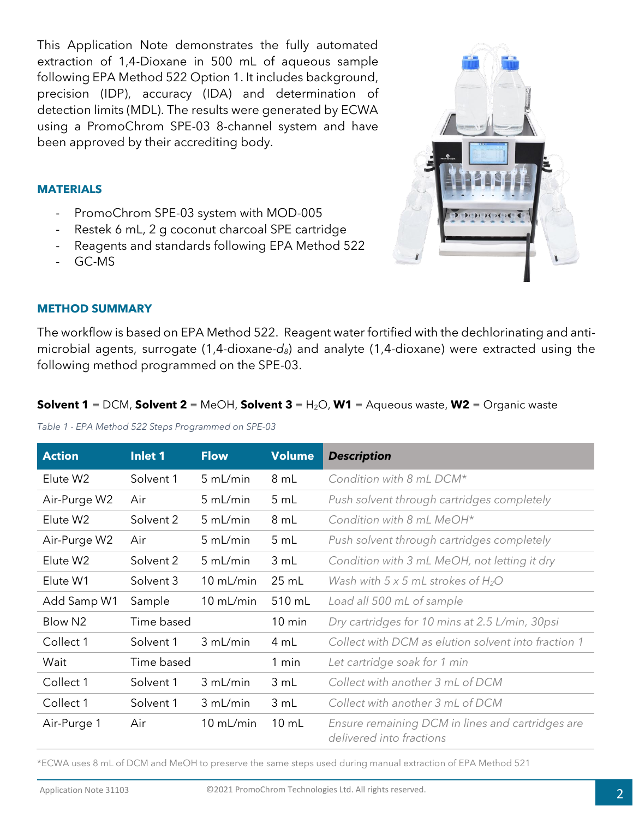This Application Note demonstrates the fully automated extraction of 1,4-Dioxane in 500 mL of aqueous sample following EPA Method 522 Option 1. It includes background, precision (IDP), accuracy (IDA) and determination of detection limits (MDL). The results were generated by ECWA using a PromoChrom SPE-03 8-channel system and have been approved by their accrediting body.

# **MATERIALS**

- PromoChrom SPE-03 system with MOD-005
- Restek 6 mL, 2 g coconut charcoal SPE cartridge
- Reagents and standards following EPA Method 522
- GC-MS



# **METHOD SUMMARY**

The workflow is based on EPA Method 522. Reagent water fortified with the dechlorinating and antimicrobial agents, surrogate (1,4-dioxane-*d8*) and analyte (1,4-dioxane) were extracted using the following method programmed on the SPE-03.

#### **Solvent 1** = DCM, **Solvent 2** = MeOH, **Solvent 3** = H<sub>2</sub>O, **W1** = Aqueous waste, **W2** = Organic waste

*Table 1 - EPA Method 522 Steps Programmed on SPE-03*

| <b>Action</b>       | Inlet 1    | <b>Flow</b> | <b>Volume</b>    | <b>Description</b>                                                           |
|---------------------|------------|-------------|------------------|------------------------------------------------------------------------------|
| Elute W2            | Solvent 1  | 5 mL/min    | 8 mL             | Condition with 8 mL DCM*                                                     |
| Air-Purge W2        | Air        | 5 mL/min    | 5 mL             | Push solvent through cartridges completely                                   |
| Elute W2            | Solvent 2  | 5 mL/min    | 8 mL             | Condition with 8 mL MeOH*                                                    |
| Air-Purge W2        | Air        | 5 mL/min    | 5 mL             | Push solvent through cartridges completely                                   |
| Elute W2            | Solvent 2  | 5 mL/min    | 3 mL             | Condition with 3 mL MeOH, not letting it dry                                 |
| Elute W1            | Solvent 3  | $10$ mL/min | $25$ mL          | Wash with $5 \times 5$ mL strokes of H <sub>2</sub> O                        |
| Add Samp W1         | Sample     | 10 mL/min   | 510 mL           | Load all 500 mL of sample                                                    |
| Blow N <sub>2</sub> | Time based |             | $10 \text{ min}$ | Dry cartridges for 10 mins at 2.5 L/min, 30psi                               |
| Collect 1           | Solvent 1  | 3 mL/min    | 4 mL             | Collect with DCM as elution solvent into fraction 1                          |
| Wait                | Time based |             | 1 min            | Let cartridge soak for 1 min                                                 |
| Collect 1           | Solvent 1  | 3 mL/min    | 3 mL             | Collect with another 3 mL of DCM                                             |
| Collect 1           | Solvent 1  | 3 mL/min    | 3 mL             | Collect with another 3 mL of DCM                                             |
| Air-Purge 1         | Air        | $10$ mL/min | $10 \, \text{m}$ | Ensure remaining DCM in lines and cartridges are<br>delivered into fractions |

\*ECWA uses 8 mL of DCM and MeOH to preserve the same steps used during manual extraction of EPA Method 521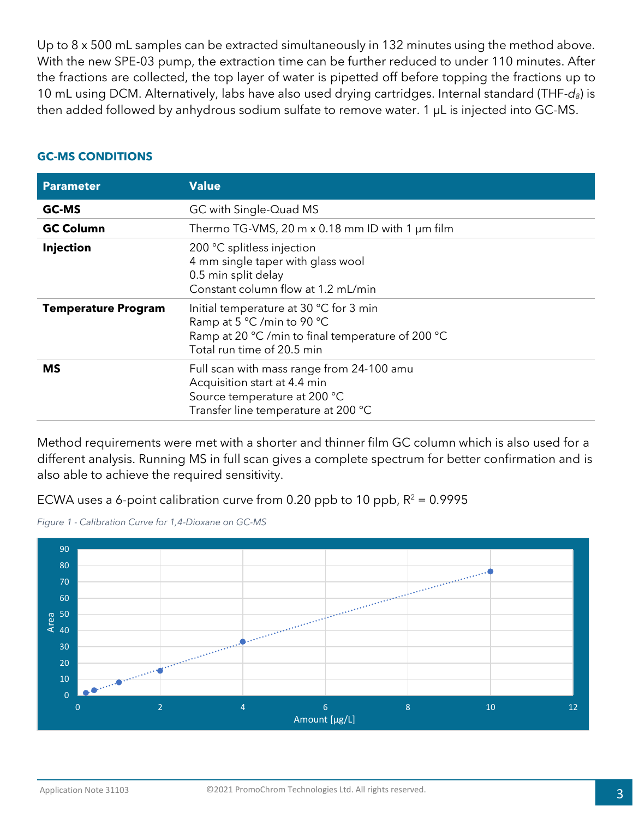Up to 8 x 500 mL samples can be extracted simultaneously in 132 minutes using the method above. With the new SPE-03 pump, the extraction time can be further reduced to under 110 minutes. After the fractions are collected, the top layer of water is pipetted off before topping the fractions up to 10 mL using DCM. Alternatively, labs have also used drying cartridges. Internal standard (THF-*d8*) is then added followed by anhydrous sodium sulfate to remove water. 1 µL is injected into GC-MS.

| <b>Parameter</b>           | <b>Value</b>                                                                                                                                            |
|----------------------------|---------------------------------------------------------------------------------------------------------------------------------------------------------|
| <b>GC-MS</b>               | GC with Single-Quad MS                                                                                                                                  |
| <b>GC Column</b>           | Thermo TG-VMS, 20 m $\times$ 0.18 mm ID with 1 $\mu$ m film                                                                                             |
| <b>Injection</b>           | 200 °C splitless injection<br>4 mm single taper with glass wool<br>0.5 min split delay<br>Constant column flow at 1.2 mL/min                            |
| <b>Temperature Program</b> | Initial temperature at 30 °C for 3 min<br>Ramp at 5 °C /min to 90 °C<br>Ramp at 20 °C /min to final temperature of 200 °C<br>Total run time of 20.5 min |
| <b>MS</b>                  | Full scan with mass range from 24-100 amu<br>Acquisition start at 4.4 min<br>Source temperature at 200 °C<br>Transfer line temperature at 200 °C        |

#### **GC-MS CONDITIONS**

Method requirements were met with a shorter and thinner film GC column which is also used for a different analysis. Running MS in full scan gives a complete spectrum for better confirmation and is also able to achieve the required sensitivity.

ECWA uses a 6-point calibration curve from 0.20 ppb to 10 ppb,  $R^2 = 0.9995$ 



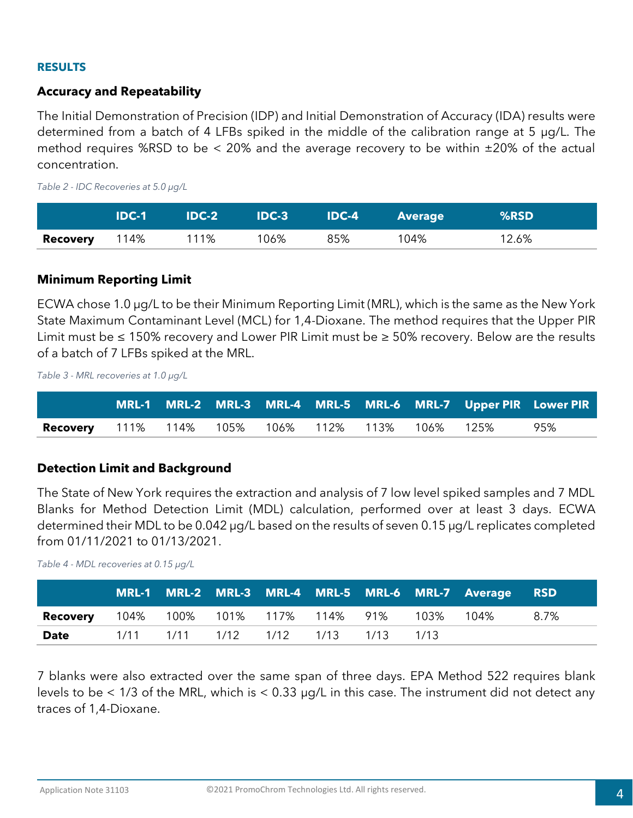#### **RESULTS**

# **Accuracy and Repeatability**

The Initial Demonstration of Precision (IDP) and Initial Demonstration of Accuracy (IDA) results were determined from a batch of 4 LFBs spiked in the middle of the calibration range at 5 µg/L. The method requires %RSD to be  $\lt$  20% and the average recovery to be within  $\pm 20\%$  of the actual concentration.

*Table 2 - IDC Recoveries at 5.0 µg/L* 

|                 | <b>IDC-1</b> | <b>IDC-2</b> | $IDC-3$ | <b>IDC-4</b> | <b>Average</b> | %RSD  |
|-----------------|--------------|--------------|---------|--------------|----------------|-------|
| <b>Recovery</b> | 114%         | 111%         | 106%    | 85%          | 104%           | 12.6% |

# **Minimum Reporting Limit**

ECWA chose 1.0 µg/L to be their Minimum Reporting Limit (MRL), which is the same as the New York State Maximum Contaminant Level (MCL) for 1,4-Dioxane. The method requires that the Upper PIR Limit must be ≤ 150% recovery and Lower PIR Limit must be ≥ 50% recovery. Below are the results of a batch of 7 LFBs spiked at the MRL.

*Table 3 - MRL recoveries at 1.0 µg/L*

|                                                         |  |  |  |  | MRL-1 MRL-2 MRL-3 MRL-4 MRL-5 MRL-6 MRL-7 Upper PIR Lower PIR |
|---------------------------------------------------------|--|--|--|--|---------------------------------------------------------------|
| <b>Recovery</b> 111% 114% 105% 106% 112% 113% 106% 125% |  |  |  |  | 95%                                                           |

# **Detection Limit and Background**

The State of New York requires the extraction and analysis of 7 low level spiked samples and 7 MDL Blanks for Method Detection Limit (MDL) calculation, performed over at least 3 days. ECWA determined their MDL to be 0.042 µg/L based on the results of seven 0.15 µg/L replicates completed from 01/11/2021 to 01/13/2021.

*Table 4 - MDL recoveries at 0.15 µg/L*

|                                                        |                               |  |  |       | MRL-1 MRL-2 MRL-3 MRL-4 MRL-5 MRL-6 MRL-7 Average RSD |      |
|--------------------------------------------------------|-------------------------------|--|--|-------|-------------------------------------------------------|------|
| <b>Recovery</b> 104% 100% 101% 117% 114% 91% 103% 104% |                               |  |  |       |                                                       | 8.7% |
| <b>Date</b>                                            | 1/11 1/11 1/12 1/12 1/13 1/13 |  |  | 1/1.3 |                                                       |      |

7 blanks were also extracted over the same span of three days. EPA Method 522 requires blank levels to be  $\lt 1/3$  of the MRL, which is  $\lt 0.33$  µg/L in this case. The instrument did not detect any traces of 1,4-Dioxane.